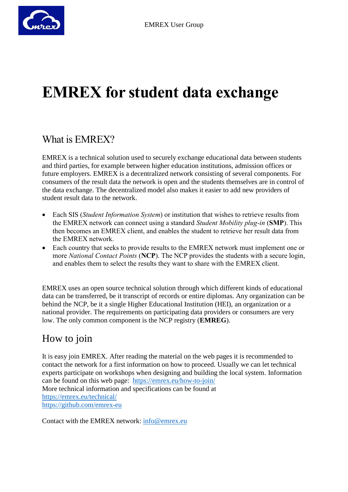## **EMREX for student data exchange**

## What is EMREX?

EMREX is a technical solution used to securely exchange educational data between students and third parties, for example between higher education institutions, admission offices or future employers. EMREX is a decentralized network consisting of several components. For consumers of the result data the network is open and the students themselves are in control of the data exchange. The decentralized model also makes it easier to add new providers of student result data to the network.

- Each SIS (*Student Information System*) or institution that wishes to retrieve results from the EMREX network can connect using a standard *Student Mobility plug-in* (**SMP**). This then becomes an EMREX client, and enables the student to retrieve her result data from the EMREX network.
- Each country that seeks to provide results to the EMREX network must implement one or more *National Contact Points* (**NCP**). The NCP provides the students with a secure login, and enables them to select the results they want to share with the EMREX client.

EMREX uses an open source technical solution through which different kinds of educational data can be transferred, be it transcript of records or entire diplomas. Any organization can be behind the NCP, be it a single Higher Educational Institution (HEI), an organization or a national provider. The requirements on participating data providers or consumers are very low. The only common component is the NCP registry (**EMREG**).

## How to join

It is easy join EMREX. After reading the material on the web pages it is recommended to contact the network for a first information on how to proceed. Usually we can let technical experts participate on workshops when designing and building the local system. Information can be found on this web page: <https://emrex.eu/how-to-join/> More technical information and specifications can be found at <https://emrex.eu/technical/> <https://github.com/emrex-eu>

Contact with the EMREX network: [info@emrex.eu](mailto:info@emrex.eu)